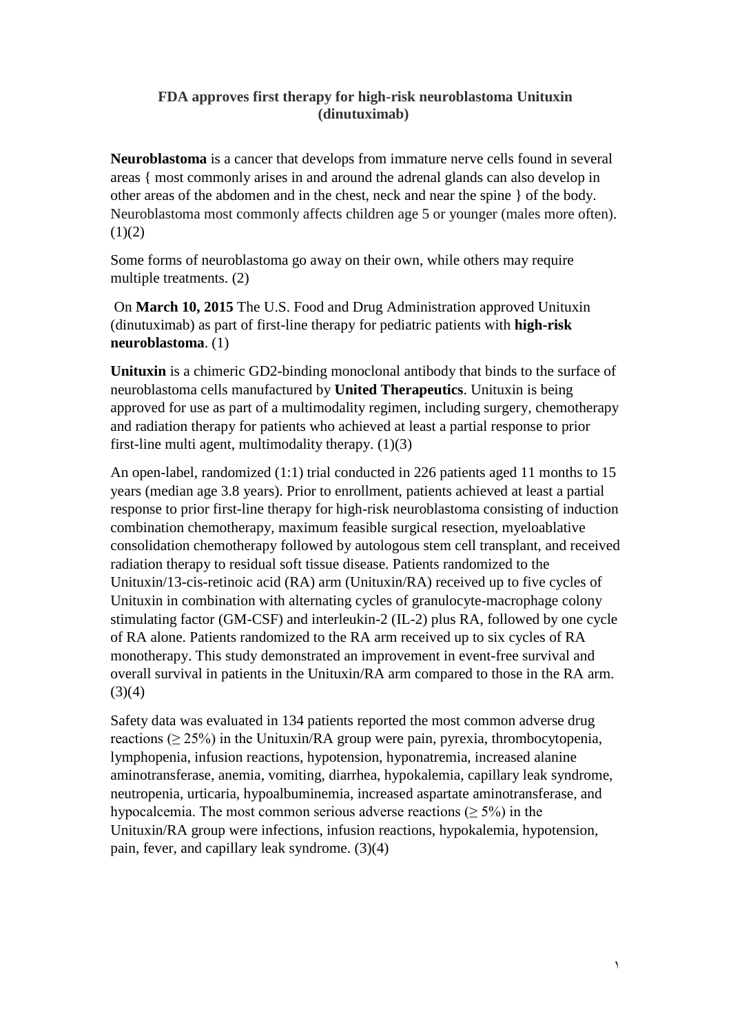## **FDA approves first therapy for high-risk neuroblastoma Unituxin (dinutuximab)**

**Neuroblastoma** is a cancer that develops from immature nerve cells found in several areas { most commonly arises in and around the adrenal glands can also develop in other areas of the abdomen and in the chest, neck and near the spine } of the body. Neuroblastoma most commonly affects children age 5 or younger (males more often).  $(1)(2)$ 

Some forms of neuroblastoma go away on their own, while others may require multiple treatments. (2)

On **March 10, 2015** The U.S. Food and Drug Administration approved Unituxin (dinutuximab) as part of first-line therapy for pediatric patients with **high-risk neuroblastoma**. (1)

**Unituxin** is a chimeric GD2-binding monoclonal antibody that binds to the surface of neuroblastoma cells manufactured by **United Therapeutics**. Unituxin is being approved for use as part of a multimodality regimen, including surgery, chemotherapy and radiation therapy for patients who achieved at least a partial response to prior first-line multi agent, multimodality therapy. (1)(3)

An open-label, randomized (1:1) trial conducted in 226 patients aged 11 months to 15 years (median age 3.8 years). Prior to enrollment, patients achieved at least a partial response to prior first-line therapy for high-risk neuroblastoma consisting of induction combination chemotherapy, maximum feasible surgical resection, myeloablative consolidation chemotherapy followed by autologous stem cell transplant, and received radiation therapy to residual soft tissue disease. Patients randomized to the Unituxin/13-cis-retinoic acid (RA) arm (Unituxin/RA) received up to five cycles of Unituxin in combination with alternating cycles of granulocyte-macrophage colony stimulating factor (GM-CSF) and interleukin-2 (IL-2) plus RA, followed by one cycle of RA alone. Patients randomized to the RA arm received up to six cycles of RA monotherapy. This study demonstrated an improvement in event-free survival and overall survival in patients in the Unituxin/RA arm compared to those in the RA arm.  $(3)(4)$ 

Safety data was evaluated in 134 patients reported the most common adverse drug reactions ( $\geq$  25%) in the Unituxin/RA group were pain, pyrexia, thrombocytopenia, lymphopenia, infusion reactions, hypotension, hyponatremia, increased alanine aminotransferase, anemia, vomiting, diarrhea, hypokalemia, capillary leak syndrome, neutropenia, urticaria, hypoalbuminemia, increased aspartate aminotransferase, and hypocalcemia. The most common serious adverse reactions ( $\geq$  5%) in the Unituxin/RA group were infections, infusion reactions, hypokalemia, hypotension, pain, fever, and capillary leak syndrome. (3)(4)

1